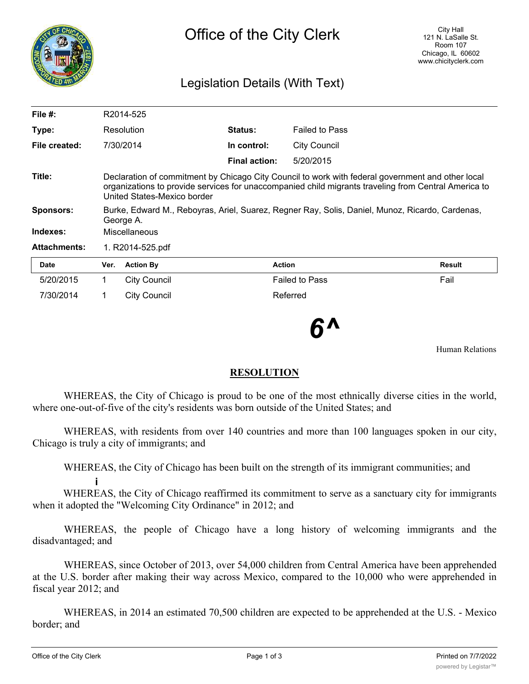

## Legislation Details (With Text)

| File #:             | R2014-525                                                                                                                                                                                                                                |                     |                      |                       |        |
|---------------------|------------------------------------------------------------------------------------------------------------------------------------------------------------------------------------------------------------------------------------------|---------------------|----------------------|-----------------------|--------|
| Type:               | Resolution                                                                                                                                                                                                                               |                     | <b>Status:</b>       | <b>Failed to Pass</b> |        |
| File created:       |                                                                                                                                                                                                                                          | 7/30/2014           | In control:          | <b>City Council</b>   |        |
|                     |                                                                                                                                                                                                                                          |                     | <b>Final action:</b> | 5/20/2015             |        |
| Title:              | Declaration of commitment by Chicago City Council to work with federal government and other local<br>organizations to provide services for unaccompanied child migrants traveling from Central America to<br>United States-Mexico border |                     |                      |                       |        |
| <b>Sponsors:</b>    | Burke, Edward M., Reboyras, Ariel, Suarez, Regner Ray, Solis, Daniel, Munoz, Ricardo, Cardenas,<br>George A.                                                                                                                             |                     |                      |                       |        |
| Indexes:            | Miscellaneous                                                                                                                                                                                                                            |                     |                      |                       |        |
| <b>Attachments:</b> | 1. R2014-525.pdf                                                                                                                                                                                                                         |                     |                      |                       |        |
| <b>Date</b>         | Ver.                                                                                                                                                                                                                                     | <b>Action By</b>    |                      | <b>Action</b>         | Result |
| 5/20/2015           | 1.                                                                                                                                                                                                                                       | <b>City Council</b> |                      | <b>Failed to Pass</b> | Fail   |
| 7/30/2014           |                                                                                                                                                                                                                                          | <b>City Council</b> |                      | Referred              |        |

*6^*

Human Relations

## **RESOLUTION**

WHEREAS, the City of Chicago is proud to be one of the most ethnically diverse cities in the world, where one-out-of-five of the city's residents was born outside of the United States; and

WHEREAS, with residents from over 140 countries and more than 100 languages spoken in our city, Chicago is truly a city of immigrants; and

WHEREAS, the City of Chicago has been built on the strength of its immigrant communities; and

**i** WHEREAS, the City of Chicago reaffirmed its commitment to serve as a sanctuary city for immigrants when it adopted the "Welcoming City Ordinance" in 2012; and

WHEREAS, the people of Chicago have a long history of welcoming immigrants and the disadvantaged; and

WHEREAS, since October of 2013, over 54,000 children from Central America have been apprehended at the U.S. border after making their way across Mexico, compared to the 10,000 who were apprehended in fiscal year 2012; and

WHEREAS, in 2014 an estimated 70,500 children are expected to be apprehended at the U.S. - Mexico border; and